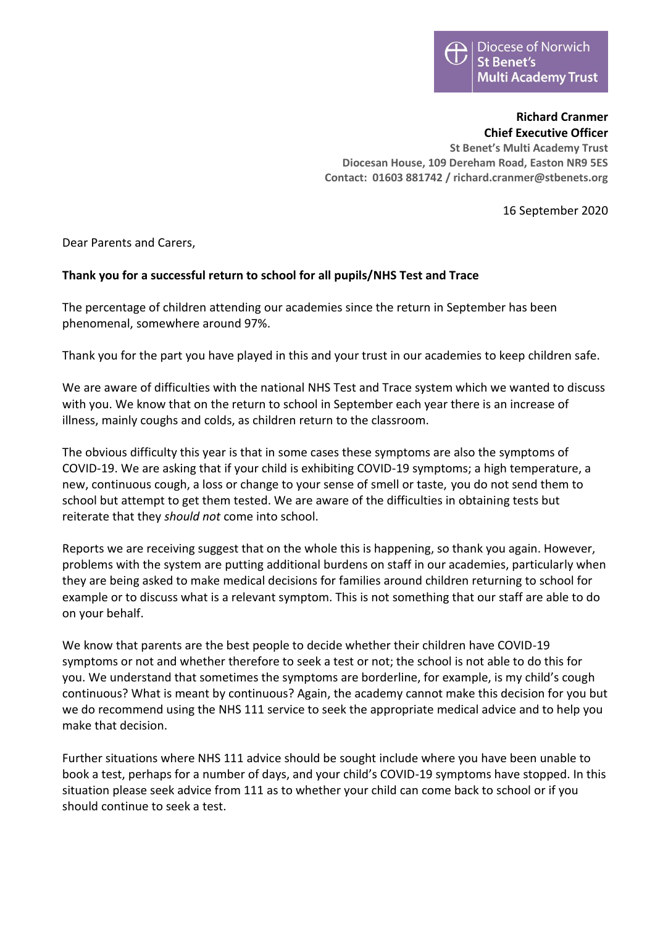## **Richard Cranmer Chief Executive Officer**

**St Benet's Multi Academy Trust Diocesan House, 109 Dereham Road, Easton NR9 5ES Contact: 01603 881742 / richard.cranmer@stbenets.org**

16 September 2020

Dear Parents and Carers,

## **Thank you for a successful return to school for all pupils/NHS Test and Trace**

The percentage of children attending our academies since the return in September has been phenomenal, somewhere around 97%.

Thank you for the part you have played in this and your trust in our academies to keep children safe.

We are aware of difficulties with the national NHS Test and Trace system which we wanted to discuss with you. We know that on the return to school in September each year there is an increase of illness, mainly coughs and colds, as children return to the classroom.

The obvious difficulty this year is that in some cases these symptoms are also the symptoms of COVID-19. We are asking that if your child is exhibiting COVID-19 symptoms; a high temperature, a new, continuous cough, a loss or change to your sense of smell or taste, you do not send them to school but attempt to get them tested. We are aware of the difficulties in obtaining tests but reiterate that they *should not* come into school.

Reports we are receiving suggest that on the whole this is happening, so thank you again. However, problems with the system are putting additional burdens on staff in our academies, particularly when they are being asked to make medical decisions for families around children returning to school for example or to discuss what is a relevant symptom. This is not something that our staff are able to do on your behalf.

We know that parents are the best people to decide whether their children have COVID-19 symptoms or not and whether therefore to seek a test or not; the school is not able to do this for you. We understand that sometimes the symptoms are borderline, for example, is my child's cough continuous? What is meant by continuous? Again, the academy cannot make this decision for you but we do recommend using the NHS 111 service to seek the appropriate medical advice and to help you make that decision.

Further situations where NHS 111 advice should be sought include where you have been unable to book a test, perhaps for a number of days, and your child's COVID-19 symptoms have stopped. In this situation please seek advice from 111 as to whether your child can come back to school or if you should continue to seek a test.